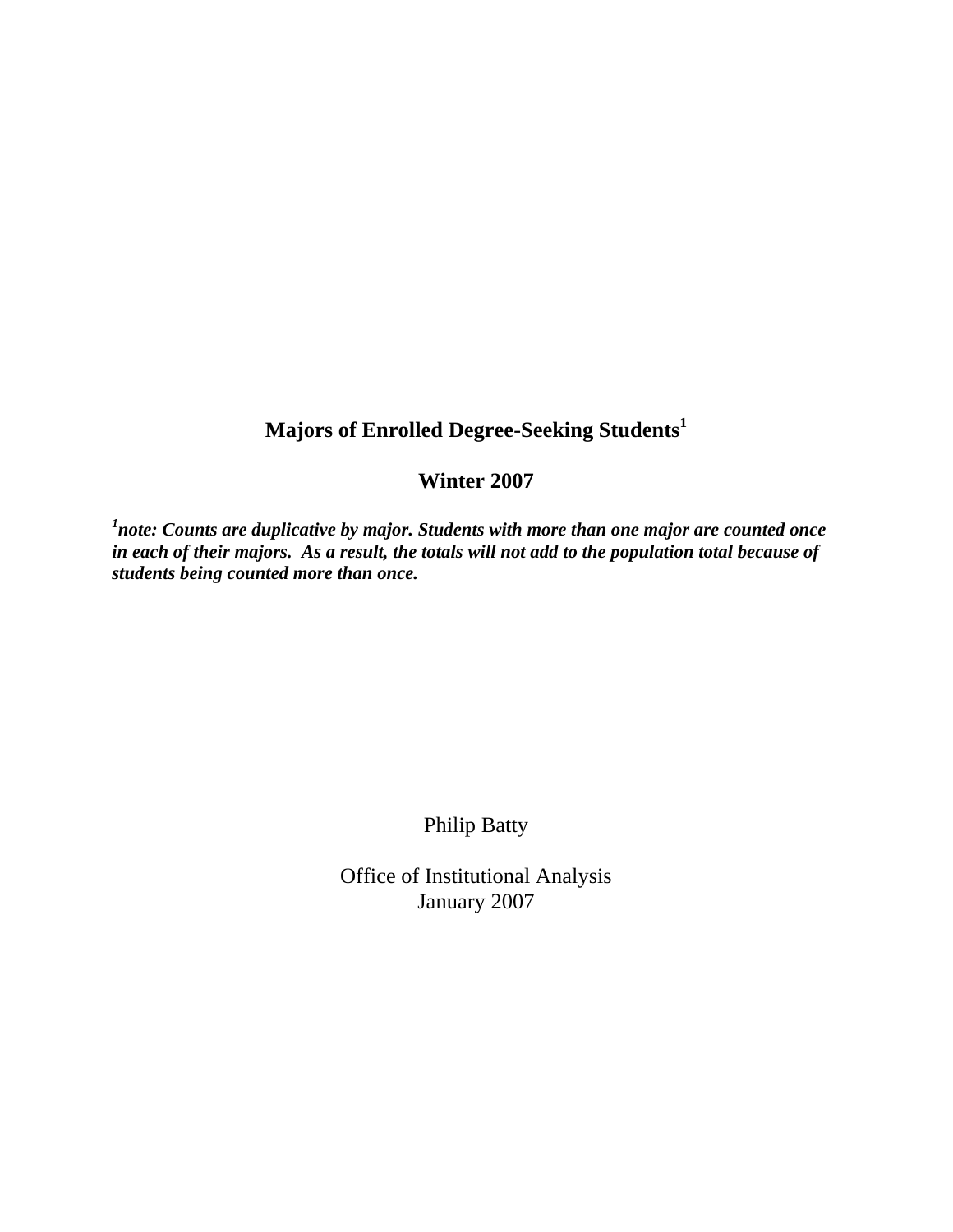## **Majors of Enrolled Degree-Seeking Students<sup>1</sup>**

## **Winter 2007**

*1 note: Counts are duplicative by major. Students with more than one major are counted once in each of their majors. As a result, the totals will not add to the population total because of students being counted more than once.* 

Philip Batty

Office of Institutional Analysis January 2007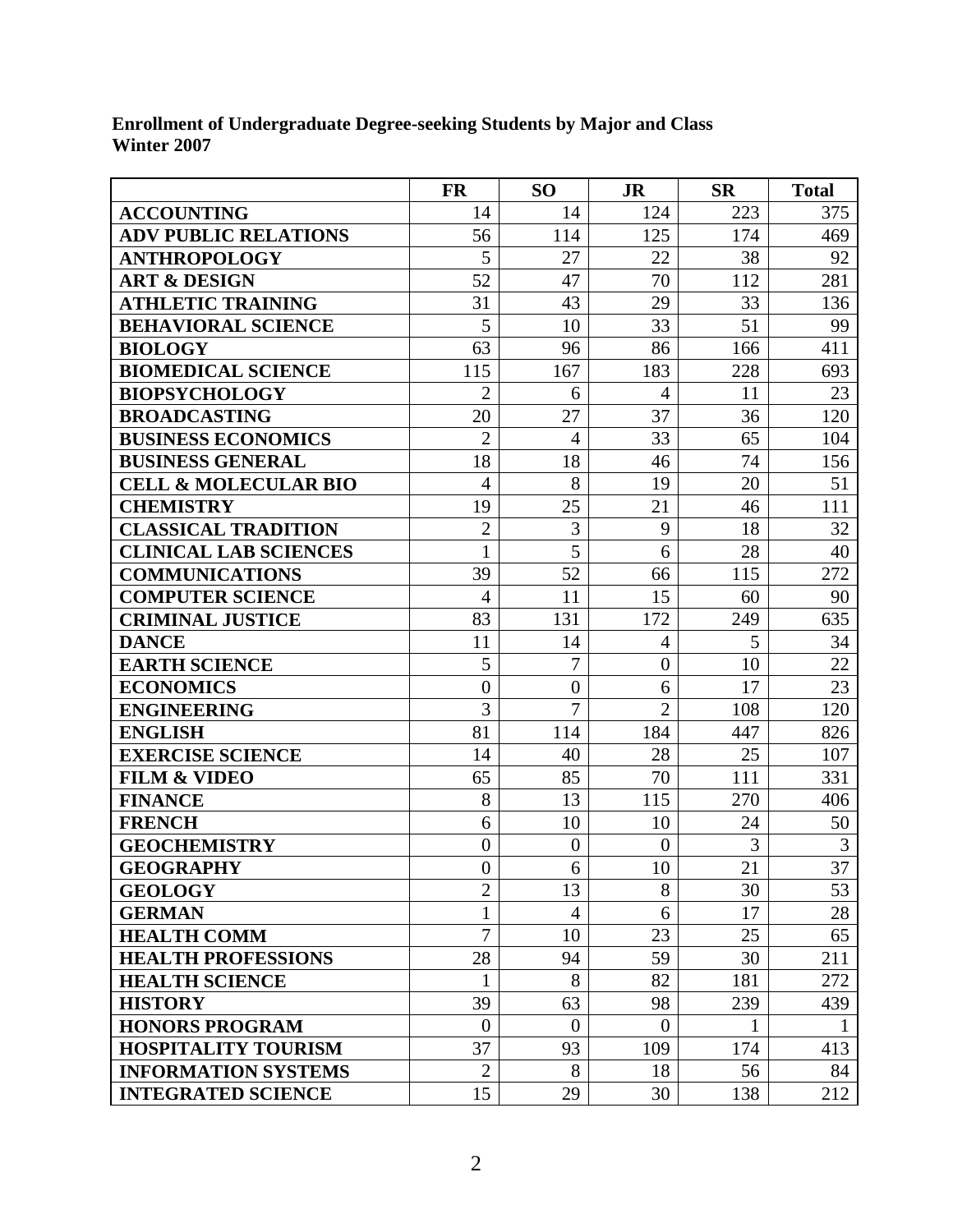**Enrollment of Undergraduate Degree-seeking Students by Major and Class Winter 2007** 

|                                 | <b>FR</b>      | <b>SO</b>        | <b>JR</b>        | <b>SR</b> | <b>Total</b> |
|---------------------------------|----------------|------------------|------------------|-----------|--------------|
| <b>ACCOUNTING</b>               | 14             | 14               | 124              | 223       | 375          |
| <b>ADV PUBLIC RELATIONS</b>     | 56             | 114              | 125              | 174       | 469          |
| <b>ANTHROPOLOGY</b>             | 5              | 27               | 22               | 38        | 92           |
| <b>ART &amp; DESIGN</b>         | 52             | 47               | 70               | 112       | 281          |
| <b>ATHLETIC TRAINING</b>        | 31             | 43               | 29               | 33        | 136          |
| <b>BEHAVIORAL SCIENCE</b>       | 5              | 10               | 33               | 51        | 99           |
| <b>BIOLOGY</b>                  | 63             | 96               | 86               | 166       | 411          |
| <b>BIOMEDICAL SCIENCE</b>       | 115            | 167              | 183              | 228       | 693          |
| <b>BIOPSYCHOLOGY</b>            | $\overline{2}$ | 6                | 4                | 11        | 23           |
| <b>BROADCASTING</b>             | 20             | 27               | 37               | 36        | 120          |
| <b>BUSINESS ECONOMICS</b>       | $\overline{2}$ | $\overline{4}$   | 33               | 65        | 104          |
| <b>BUSINESS GENERAL</b>         | 18             | 18               | 46               | 74        | 156          |
| <b>CELL &amp; MOLECULAR BIO</b> | $\overline{4}$ | 8                | 19               | 20        | 51           |
| <b>CHEMISTRY</b>                | 19             | 25               | 21               | 46        | 111          |
| <b>CLASSICAL TRADITION</b>      | $\overline{2}$ | 3                | 9                | 18        | 32           |
| <b>CLINICAL LAB SCIENCES</b>    | $\mathbf 1$    | 5                | 6                | 28        | 40           |
| <b>COMMUNICATIONS</b>           | 39             | 52               | 66               | 115       | 272          |
| <b>COMPUTER SCIENCE</b>         | $\overline{4}$ | 11               | 15               | 60        | 90           |
| <b>CRIMINAL JUSTICE</b>         | 83             | 131              | 172              | 249       | 635          |
| <b>DANCE</b>                    | 11             | 14               | $\overline{4}$   | 5         | 34           |
| <b>EARTH SCIENCE</b>            | 5              | $\overline{7}$   | $\overline{0}$   | 10        | 22           |
| <b>ECONOMICS</b>                | $\overline{0}$ | $\overline{0}$   | 6                | 17        | 23           |
| <b>ENGINEERING</b>              | 3              | $\overline{7}$   | $\overline{2}$   | 108       | 120          |
| <b>ENGLISH</b>                  | 81             | 114              | 184              | 447       | 826          |
| <b>EXERCISE SCIENCE</b>         | 14             | 40               | 28               | 25        | 107          |
| <b>FILM &amp; VIDEO</b>         | 65             | 85               | 70               | 111       | 331          |
| <b>FINANCE</b>                  | 8              | 13               | 115              | 270       | 406          |
| <b>FRENCH</b>                   | 6              | 10               | 10               | 24        | 50           |
| <b>GEOCHEMISTRY</b>             | $\overline{0}$ | $\boldsymbol{0}$ | $\overline{0}$   | 3         | 3            |
| <b>GEOGRAPHY</b>                | $\overline{0}$ | 6                | 10               | 21        | 37           |
| <b>GEOLOGY</b>                  | $\mathbf{2}$   | 13               | 8                | 30        | 53           |
| <b>GERMAN</b>                   | 1              | $\overline{4}$   | 6                | 17        | 28           |
| <b>HEALTH COMM</b>              | $\overline{7}$ | 10               | 23               | 25        | 65           |
| <b>HEALTH PROFESSIONS</b>       | 28             | 94               | 59               | 30        | 211          |
| <b>HEALTH SCIENCE</b>           | $\mathbf{1}$   | 8                | 82               | 181       | 272          |
| <b>HISTORY</b>                  | 39             | 63               | 98               | 239       | 439          |
| <b>HONORS PROGRAM</b>           | $\overline{0}$ | $\overline{0}$   | $\boldsymbol{0}$ | 1         |              |
| <b>HOSPITALITY TOURISM</b>      | 37             | 93               | 109              | 174       | 413          |
| <b>INFORMATION SYSTEMS</b>      | $\overline{2}$ | 8                | 18               | 56        | 84           |
| <b>INTEGRATED SCIENCE</b>       | 15             | 29               | 30               | 138       | 212          |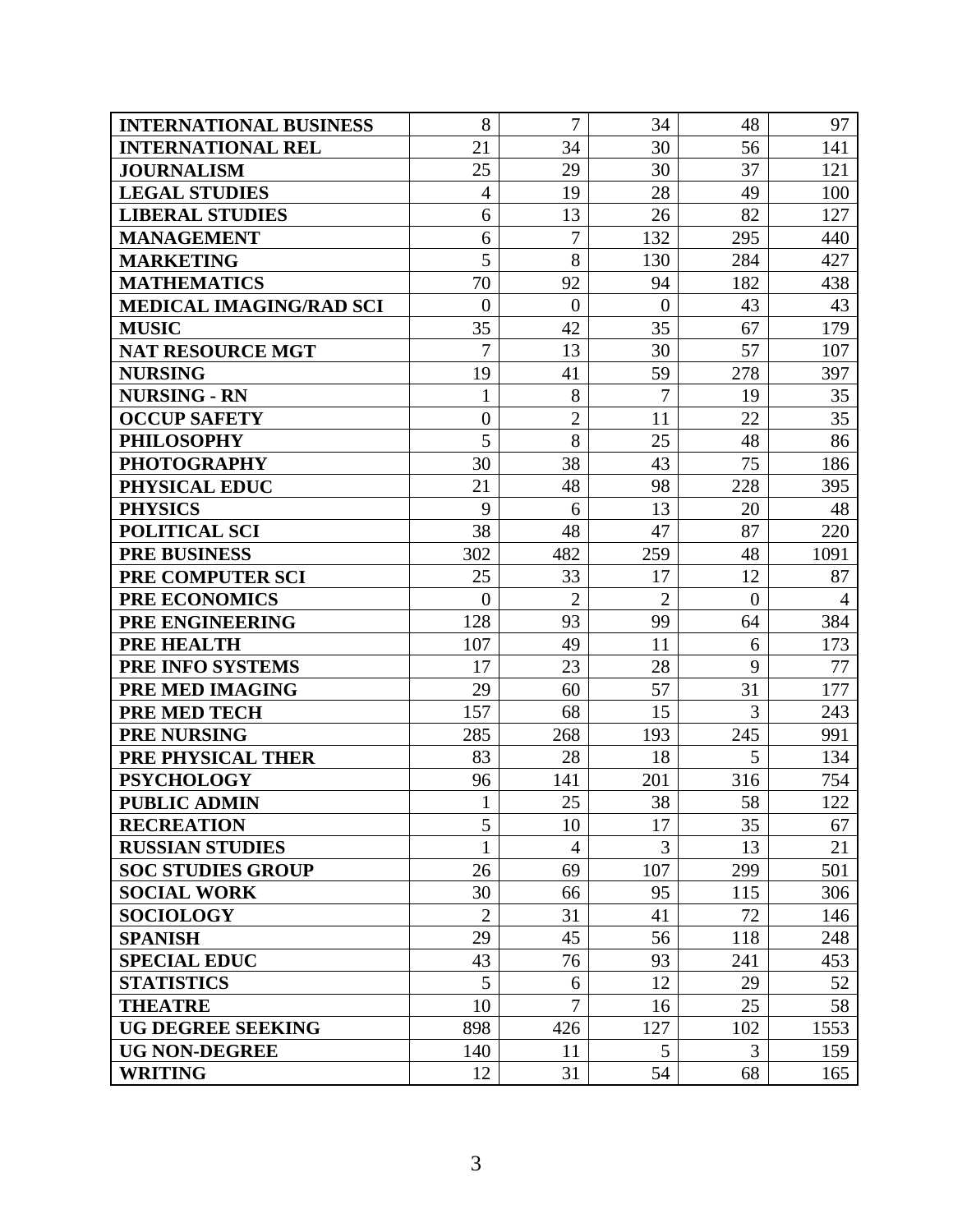| <b>INTERNATIONAL BUSINESS</b>  | 8                | $\overline{7}$ | 34             | 48             | 97             |
|--------------------------------|------------------|----------------|----------------|----------------|----------------|
| <b>INTERNATIONAL REL</b>       | 21               | 34             | 30             | 56             | 141            |
| <b>JOURNALISM</b>              | 25               | 29             | 30             | 37             | 121            |
| <b>LEGAL STUDIES</b>           | $\overline{4}$   | 19             | 28             | 49             | 100            |
| <b>LIBERAL STUDIES</b>         | 6                | 13             | 26             | 82             | 127            |
| <b>MANAGEMENT</b>              | 6                | $\overline{7}$ | 132            | 295            | 440            |
| <b>MARKETING</b>               | 5                | 8              | 130            | 284            | 427            |
| <b>MATHEMATICS</b>             | 70               | 92             | 94             | 182            | 438            |
| <b>MEDICAL IMAGING/RAD SCI</b> | $\overline{0}$   | $\overline{0}$ | $\overline{0}$ | 43             | 43             |
| <b>MUSIC</b>                   | 35               | 42             | 35             | 67             | 179            |
| <b>NAT RESOURCE MGT</b>        | $\overline{7}$   | 13             | 30             | 57             | 107            |
| <b>NURSING</b>                 | 19               | 41             | 59             | 278            | 397            |
| <b>NURSING - RN</b>            | 1                | 8              | $\overline{7}$ | 19             | 35             |
| <b>OCCUP SAFETY</b>            | $\boldsymbol{0}$ | $\overline{2}$ | 11             | 22             | 35             |
| <b>PHILOSOPHY</b>              | 5                | 8              | 25             | 48             | 86             |
| <b>PHOTOGRAPHY</b>             | 30               | 38             | 43             | 75             | 186            |
| PHYSICAL EDUC                  | 21               | 48             | 98             | 228            | 395            |
| <b>PHYSICS</b>                 | 9                | 6              | 13             | 20             | 48             |
| <b>POLITICAL SCI</b>           | 38               | 48             | 47             | 87             | 220            |
| <b>PRE BUSINESS</b>            | 302              | 482            | 259            | 48             | 1091           |
| PRE COMPUTER SCI               | 25               | 33             | 17             | 12             | 87             |
| <b>PRE ECONOMICS</b>           | $\theta$         | $\overline{2}$ | $\overline{2}$ | $\overline{0}$ | $\overline{4}$ |
| PRE ENGINEERING                | 128              | 93             | 99             | 64             | 384            |
| <b>PRE HEALTH</b>              | 107              | 49             | 11             | 6              | 173            |
| PRE INFO SYSTEMS               | 17               | 23             | 28             | 9              | 77             |
| PRE MED IMAGING                | 29               | 60             | 57             | 31             | 177            |
| <b>PRE MED TECH</b>            | 157              | 68             | 15             | 3              | 243            |
| <b>PRE NURSING</b>             | 285              | 268            | 193            | 245            | 991            |
| PRE PHYSICAL THER              | 83               | 28             | 18             | 5              | 134            |
| <b>PSYCHOLOGY</b>              | 96               | 141            | 201            | 316            | 754            |
| <b>PUBLIC ADMIN</b>            |                  | 25             | 38             | 58             | 122            |
| <b>RECREATION</b>              | 5                | 10             | 17             | 35             | 67             |
| <b>RUSSIAN STUDIES</b>         | 1                | 4              | 3              | 13             | 21             |
| <b>SOC STUDIES GROUP</b>       | 26               | 69             | 107            | 299            | 501            |
| <b>SOCIAL WORK</b>             | 30               | 66             | 95             | 115            | 306            |
| <b>SOCIOLOGY</b>               | $\overline{2}$   | 31             | 41             | 72             | 146            |
| <b>SPANISH</b>                 | 29               | 45             | 56             | 118            | 248            |
| <b>SPECIAL EDUC</b>            | 43               | 76             | 93             | 241            | 453            |
| <b>STATISTICS</b>              | 5                | 6              | 12             | 29             | 52             |
| <b>THEATRE</b>                 | 10               | $\overline{7}$ | 16             | 25             | 58             |
| <b>UG DEGREE SEEKING</b>       | 898              | 426            | 127            | 102            | 1553           |
| <b>UG NON-DEGREE</b>           | 140              | 11             | 5              | 3              | 159            |
| <b>WRITING</b>                 | 12               | 31             | 54             | 68             | 165            |